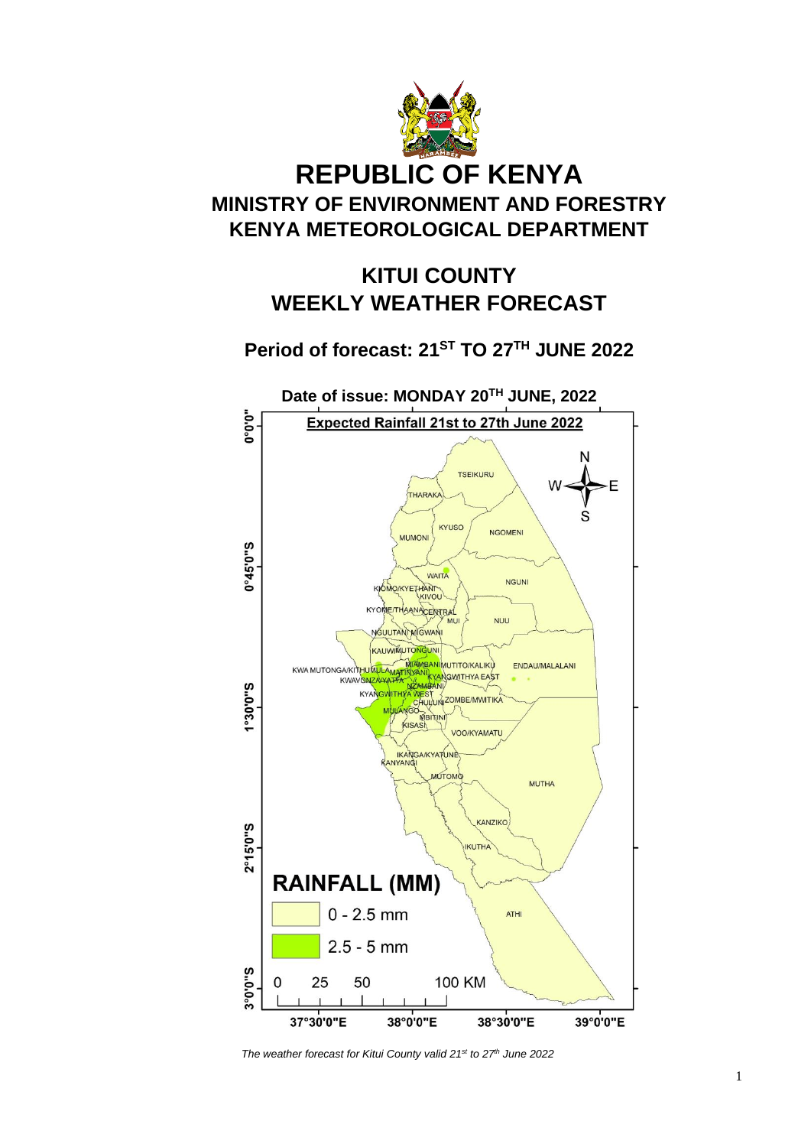

# **KITUI COUNTY WEEKLY WEATHER FORECAST**

## **Period of forecast: 21ST TO 27 TH JUNE 2022**



*The weather forecast for Kitui County valid 21st to 27 th June 2022*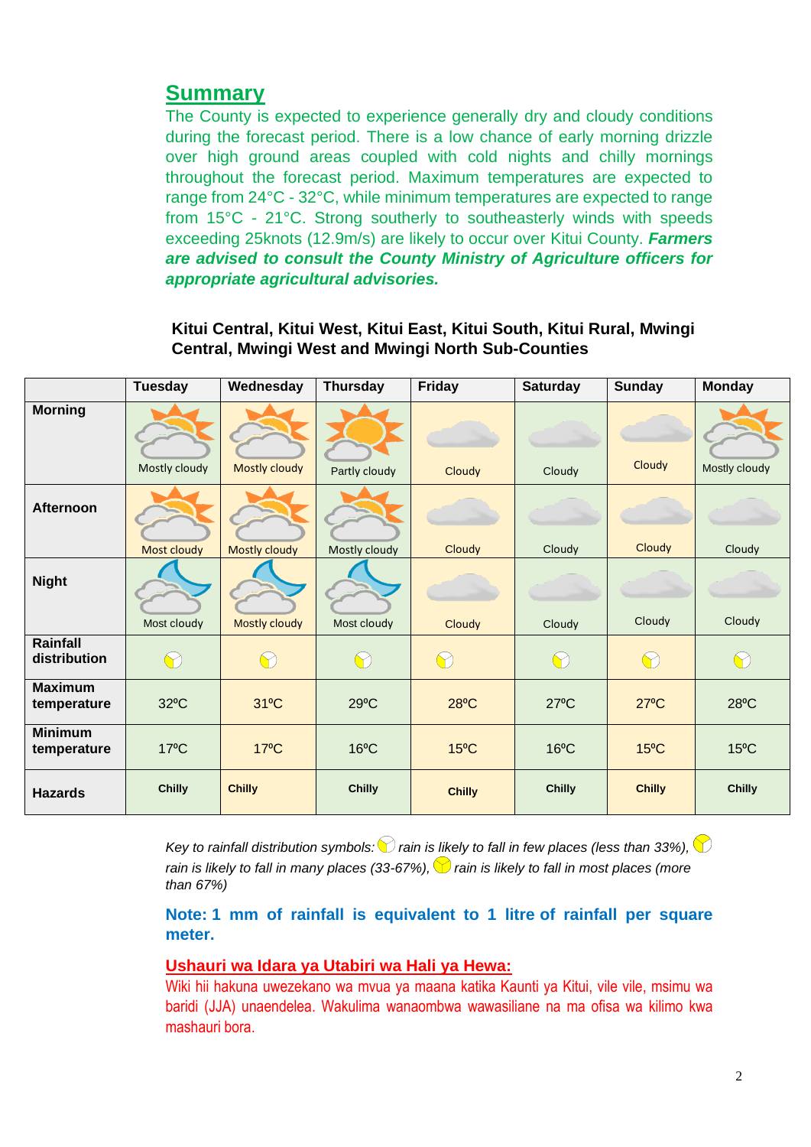### **Summary**

The County is expected to experience generally dry and cloudy conditions during the forecast period. There is a low chance of early morning drizzle over high ground areas coupled with cold nights and chilly mornings throughout the forecast period. Maximum temperatures are expected to range from 24°C - 32°C, while minimum temperatures are expected to range from 15°C - 21°C. Strong southerly to southeasterly winds with speeds exceeding 25knots (12.9m/s) are likely to occur over Kitui County. *Farmers are advised to consult the County Ministry of Agriculture officers for appropriate agricultural advisories.*

**Kitui Central, Kitui West, Kitui East, Kitui South, Kitui Rural, Mwingi Central, Mwingi West and Mwingi North Sub-Counties**

|                               | <b>Tuesday</b> | Wednesday            | <b>Thursday</b> | Friday         | <b>Saturday</b> | <b>Sunday</b>  | <b>Monday</b>  |
|-------------------------------|----------------|----------------------|-----------------|----------------|-----------------|----------------|----------------|
| <b>Morning</b>                | Mostly cloudy  | <b>Mostly cloudy</b> | Partly cloudy   | Cloudy         | Cloudy          | Cloudy         | Mostly cloudy  |
| Afternoon                     | Most cloudy    | <b>Mostly cloudy</b> | Mostly cloudy   | Cloudy         | Cloudy          | Cloudy         | Cloudy         |
| <b>Night</b>                  | Most cloudy    | <b>Mostly cloudy</b> | Most cloudy     | Cloudy         | Cloudy          | Cloudy         | Cloudy         |
| Rainfall<br>distribution      | $\bigcirc$     | $\bigcap$            | $\bigcirc$      | $\bigcirc$     | $\bigcirc$      | $\bigcap$      | $\bigcirc$     |
| <b>Maximum</b><br>temperature | $32^{\circ}$ C | $31^{\circ}$ C       | $29^{\circ}C$   | $28^{\circ}$ C | $27^{\circ}$ C  | $27^{\circ}$ C | $28^{\circ}$ C |
| <b>Minimum</b><br>temperature | $17^{\circ}$ C | $17^{\circ}$ C       | $16^{\circ}$ C  | $15^{\circ}$ C | $16^{\circ}$ C  | $15^{\circ}$ C | $15^{\circ}$ C |
| <b>Hazards</b>                | <b>Chilly</b>  | <b>Chilly</b>        | <b>Chilly</b>   | <b>Chilly</b>  | <b>Chilly</b>   | <b>Chilly</b>  | <b>Chilly</b>  |

*Key to rainfall distribution symbols:*  $\bigcirc$  *rain is likely to fall in few places (less than 33%),*  $\bigcirc$ *rain is likely to fall in many places (33-67%),*  $\heartsuit$  *rain is likely to fall in most places (more than 67%)*

### **Note: 1 mm of rainfall is equivalent to 1 litre of rainfall per square meter.**

#### **Ushauri wa Idara ya Utabiri wa Hali ya Hewa:**

Wiki hii hakuna uwezekano wa mvua ya maana katika Kaunti ya Kitui, vile vile, msimu wa baridi (JJA) unaendelea. Wakulima wanaombwa wawasiliane na ma ofisa wa kilimo kwa mashauri bora.